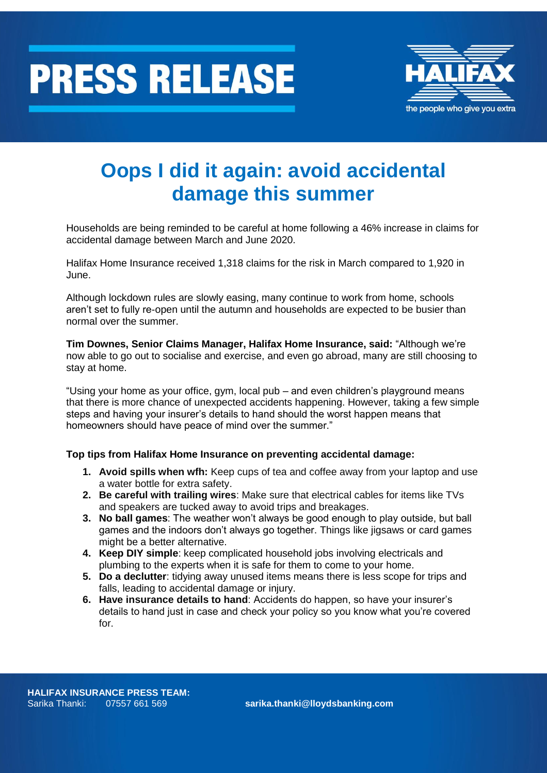



## **Oops I did it again: avoid accidental damage this summer**

Households are being reminded to be careful at home following a 46% increase in claims for accidental damage between March and June 2020.

Halifax Home Insurance received 1,318 claims for the risk in March compared to 1,920 in June.

Although lockdown rules are slowly easing, many continue to work from home, schools aren't set to fully re-open until the autumn and households are expected to be busier than normal over the summer.

**Tim Downes, Senior Claims Manager, Halifax Home Insurance, said:** "Although we're now able to go out to socialise and exercise, and even go abroad, many are still choosing to stay at home.

"Using your home as your office, gym, local pub – and even children's playground means that there is more chance of unexpected accidents happening. However, taking a few simple steps and having your insurer's details to hand should the worst happen means that homeowners should have peace of mind over the summer."

## **Top tips from Halifax Home Insurance on preventing accidental damage:**

- **1. Avoid spills when wfh:** Keep cups of tea and coffee away from your laptop and use a water bottle for extra safety.
- **2. Be careful with trailing wires**: Make sure that electrical cables for items like TVs and speakers are tucked away to avoid trips and breakages.
- **3. No ball games**: The weather won't always be good enough to play outside, but ball games and the indoors don't always go together. Things like jigsaws or card games might be a better alternative.
- **4. Keep DIY simple**: keep complicated household jobs involving electricals and plumbing to the experts when it is safe for them to come to your home.
- **5. Do a declutter**: tidying away unused items means there is less scope for trips and falls, leading to accidental damage or injury.
- **6. Have insurance details to hand**: Accidents do happen, so have your insurer's details to hand just in case and check your policy so you know what you're covered for.